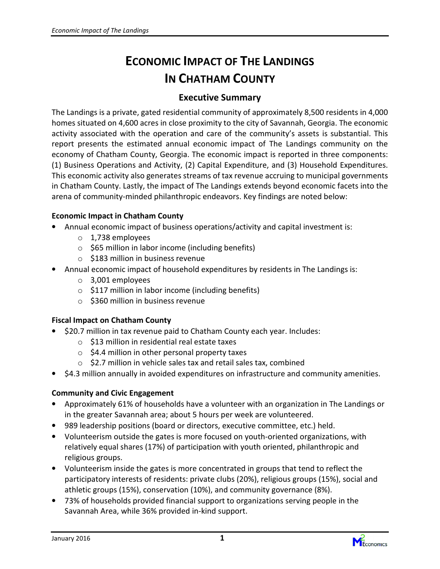# ECONOMIC IMPACT OF THE LANDINGS IN CHATHAM COUNTY

#### Executive Summary

The Landings is a private, gated residential community of approximately 8,500 residents in 4,000 homes situated on 4,600 acres in close proximity to the city of Savannah, Georgia. The economic activity associated with the operation and care of the community's assets is substantial. This report presents the estimated annual economic impact of The Landings community on the economy of Chatham County, Georgia. The economic impact is reported in three components: (1) Business Operations and Activity, (2) Capital Expenditure, and (3) Household Expenditures. This economic activity also generates streams of tax revenue accruing to municipal governments in Chatham County. Lastly, the impact of The Landings extends beyond economic facets into the arena of community-minded philanthropic endeavors. Key findings are noted below:

#### Economic Impact in Chatham County

- Annual economic impact of business operations/activity and capital investment is:
	- o 1,738 employees
	- $\circ$  \$65 million in labor income (including benefits)
	- $\circ$  \$183 million in business revenue
- Annual economic impact of household expenditures by residents in The Landings is:
	- o 3,001 employees
	- $\circ$  \$117 million in labor income (including benefits)
	- $\circ$  \$360 million in business revenue

#### Fiscal Impact on Chatham County

- \$20.7 million in tax revenue paid to Chatham County each year. Includes:
	- $\circ$  \$13 million in residential real estate taxes
	- $\circ$  \$4.4 million in other personal property taxes
	- $\circ$  \$2.7 million in vehicle sales tax and retail sales tax, combined
- \$4.3 million annually in avoided expenditures on infrastructure and community amenities.

#### Community and Civic Engagement

- Approximately 61% of households have a volunteer with an organization in The Landings or in the greater Savannah area; about 5 hours per week are volunteered.
- 989 leadership positions (board or directors, executive committee, etc.) held.
- Volunteerism outside the gates is more focused on youth-oriented organizations, with relatively equal shares (17%) of participation with youth oriented, philanthropic and religious groups.
- Volunteerism inside the gates is more concentrated in groups that tend to reflect the participatory interests of residents: private clubs (20%), religious groups (15%), social and athletic groups (15%), conservation (10%), and community governance (8%).
- 73% of households provided financial support to organizations serving people in the Savannah Area, while 36% provided in-kind support.

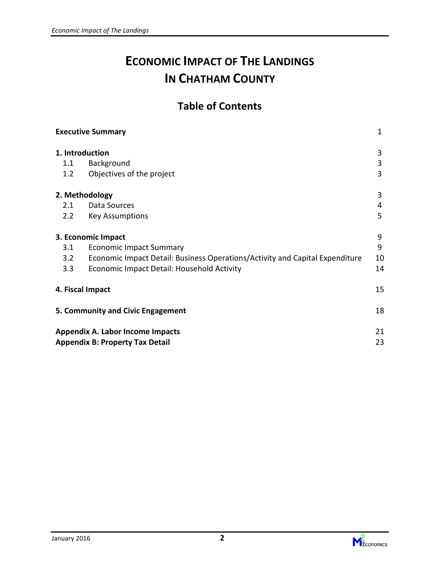# ECONOMIC IMPACT OF THE LANDINGS IN CHATHAM COUNTY

## Table of Contents

|     | <b>Executive Summary</b>                                                     | $\mathbf{1}$ |
|-----|------------------------------------------------------------------------------|--------------|
|     | 1. Introduction                                                              | 3            |
| 1.1 | Background                                                                   | 3            |
| 1.2 | Objectives of the project                                                    | 3            |
|     | 2. Methodology                                                               | 3            |
| 2.1 | Data Sources                                                                 | 4            |
| 2.2 | <b>Key Assumptions</b>                                                       | 5            |
|     | 3. Economic Impact                                                           | 9            |
| 3.1 | <b>Economic Impact Summary</b>                                               | 9            |
| 3.2 | Economic Impact Detail: Business Operations/Activity and Capital Expenditure | 10           |
| 3.3 | Economic Impact Detail: Household Activity                                   | 14           |
|     | 4. Fiscal Impact                                                             | 15           |
|     | 5. Community and Civic Engagement                                            | 18           |
|     | <b>Appendix A. Labor Income Impacts</b>                                      | 21           |
|     | <b>Appendix B: Property Tax Detail</b>                                       | 23           |

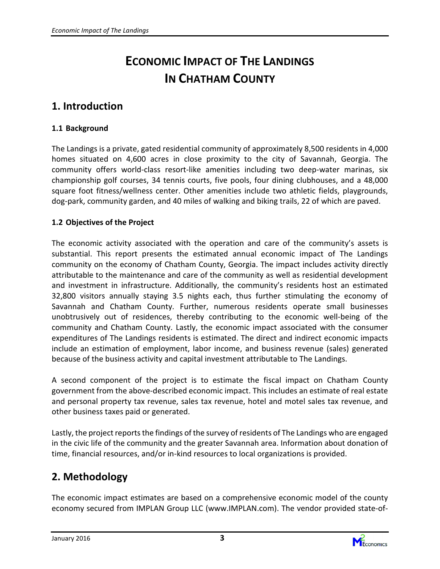# ECONOMIC IMPACT OF THE LANDINGS IN CHATHAM COUNTY

### 1. Introduction

#### 1.1 Background

The Landings is a private, gated residential community of approximately 8,500 residents in 4,000 homes situated on 4,600 acres in close proximity to the city of Savannah, Georgia. The community offers world-class resort-like amenities including two deep-water marinas, six championship golf courses, 34 tennis courts, five pools, four dining clubhouses, and a 48,000 square foot fitness/wellness center. Other amenities include two athletic fields, playgrounds, dog-park, community garden, and 40 miles of walking and biking trails, 22 of which are paved.

#### 1.2 Objectives of the Project

The economic activity associated with the operation and care of the community's assets is substantial. This report presents the estimated annual economic impact of The Landings community on the economy of Chatham County, Georgia. The impact includes activity directly attributable to the maintenance and care of the community as well as residential development and investment in infrastructure. Additionally, the community's residents host an estimated 32,800 visitors annually staying 3.5 nights each, thus further stimulating the economy of Savannah and Chatham County. Further, numerous residents operate small businesses unobtrusively out of residences, thereby contributing to the economic well-being of the community and Chatham County. Lastly, the economic impact associated with the consumer expenditures of The Landings residents is estimated. The direct and indirect economic impacts include an estimation of employment, labor income, and business revenue (sales) generated because of the business activity and capital investment attributable to The Landings.

A second component of the project is to estimate the fiscal impact on Chatham County government from the above-described economic impact. This includes an estimate of real estate and personal property tax revenue, sales tax revenue, hotel and motel sales tax revenue, and other business taxes paid or generated.

Lastly, the project reports the findings of the survey of residents of The Landings who are engaged in the civic life of the community and the greater Savannah area. Information about donation of time, financial resources, and/or in-kind resources to local organizations is provided.

### 2. Methodology

The economic impact estimates are based on a comprehensive economic model of the county economy secured from IMPLAN Group LLC (www.IMPLAN.com). The vendor provided state-of-

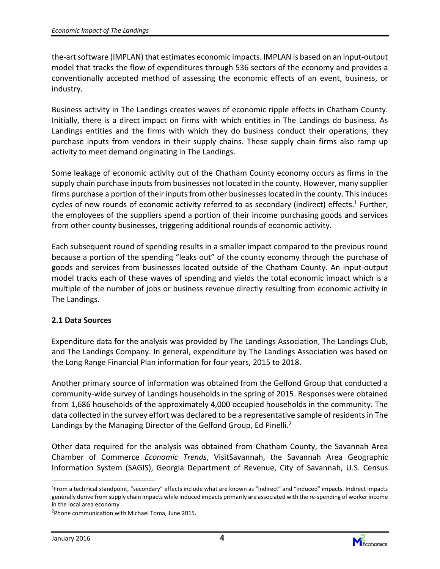the-art software (IMPLAN) that estimates economic impacts. IMPLAN is based on an input-output model that tracks the flow of expenditures through 536 sectors of the economy and provides a conventionally accepted method of assessing the economic effects of an event, business, or industry.

Business activity in The Landings creates waves of economic ripple effects in Chatham County. Initially, there is a direct impact on firms with which entities in The Landings do business. As Landings entities and the firms with which they do business conduct their operations, they purchase inputs from vendors in their supply chains. These supply chain firms also ramp up activity to meet demand originating in The Landings.

Some leakage of economic activity out of the Chatham County economy occurs as firms in the supply chain purchase inputs from businesses not located in the county. However, many supplier firms purchase a portion of their inputs from other businesses located in the county. This induces cycles of new rounds of economic activity referred to as secondary (indirect) effects.<sup>1</sup> Further, the employees of the suppliers spend a portion of their income purchasing goods and services from other county businesses, triggering additional rounds of economic activity.

Each subsequent round of spending results in a smaller impact compared to the previous round because a portion of the spending "leaks out" of the county economy through the purchase of goods and services from businesses located outside of the Chatham County. An input-output model tracks each of these waves of spending and yields the total economic impact which is a multiple of the number of jobs or business revenue directly resulting from economic activity in The Landings.

#### 2.1 Data Sources

Expenditure data for the analysis was provided by The Landings Association, The Landings Club, and The Landings Company. In general, expenditure by The Landings Association was based on the Long Range Financial Plan information for four years, 2015 to 2018.

Another primary source of information was obtained from the Gelfond Group that conducted a community-wide survey of Landings households in the spring of 2015. Responses were obtained from 1,686 households of the approximately 4,000 occupied households in the community. The data collected in the survey effort was declared to be a representative sample of residents in The Landings by the Managing Director of the Gelfond Group, Ed Pinelli.<sup>2</sup>

Other data required for the analysis was obtained from Chatham County, the Savannah Area Chamber of Commerce Economic Trends, VisitSavannah, the Savannah Area Geographic Information System (SAGIS), Georgia Department of Revenue, City of Savannah, U.S. Census



<sup>1</sup>From a technical standpoint, "secondary" effects include what are known as "indirect" and "induced" impacts. Indirect impacts generally derive from supply chain impacts while induced impacts primarily are associated with the re-spending of worker income in the local area economy.

<sup>2</sup>Phone communication with Michael Toma, June 2015.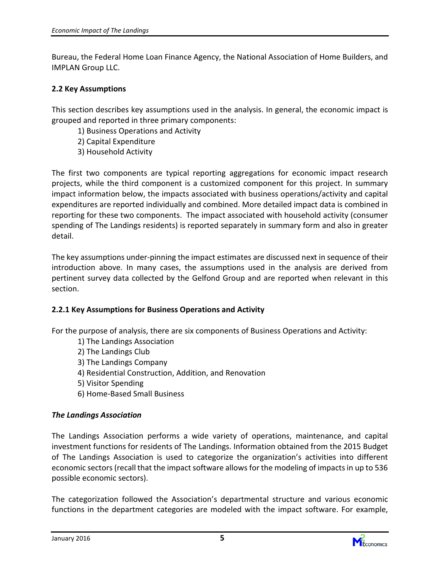Bureau, the Federal Home Loan Finance Agency, the National Association of Home Builders, and IMPLAN Group LLC.

#### 2.2 Key Assumptions

This section describes key assumptions used in the analysis. In general, the economic impact is grouped and reported in three primary components:

- 1) Business Operations and Activity
- 2) Capital Expenditure
- 3) Household Activity

The first two components are typical reporting aggregations for economic impact research projects, while the third component is a customized component for this project. In summary impact information below, the impacts associated with business operations/activity and capital expenditures are reported individually and combined. More detailed impact data is combined in reporting for these two components. The impact associated with household activity (consumer spending of The Landings residents) is reported separately in summary form and also in greater detail.

The key assumptions under-pinning the impact estimates are discussed next in sequence of their introduction above. In many cases, the assumptions used in the analysis are derived from pertinent survey data collected by the Gelfond Group and are reported when relevant in this section.

#### 2.2.1 Key Assumptions for Business Operations and Activity

For the purpose of analysis, there are six components of Business Operations and Activity:

- 1) The Landings Association
- 2) The Landings Club
- 3) The Landings Company
- 4) Residential Construction, Addition, and Renovation
- 5) Visitor Spending
- 6) Home-Based Small Business

#### The Landings Association

The Landings Association performs a wide variety of operations, maintenance, and capital investment functions for residents of The Landings. Information obtained from the 2015 Budget of The Landings Association is used to categorize the organization's activities into different economic sectors (recall that the impact software allows for the modeling of impacts in up to 536 possible economic sectors).

The categorization followed the Association's departmental structure and various economic functions in the department categories are modeled with the impact software. For example,

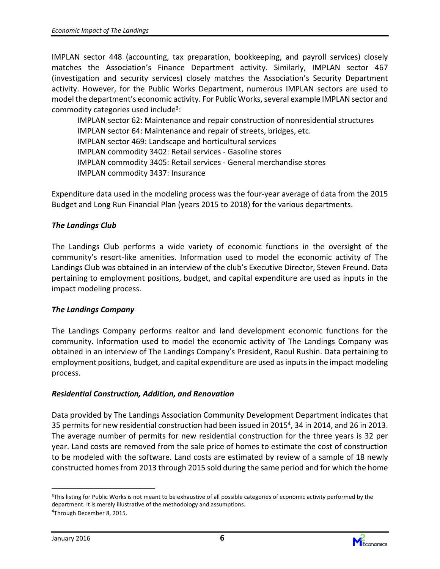IMPLAN sector 448 (accounting, tax preparation, bookkeeping, and payroll services) closely matches the Association's Finance Department activity. Similarly, IMPLAN sector 467 (investigation and security services) closely matches the Association's Security Department activity. However, for the Public Works Department, numerous IMPLAN sectors are used to model the department's economic activity. For Public Works, several example IMPLAN sector and commodity categories used include<sup>3</sup>:

IMPLAN sector 62: Maintenance and repair construction of nonresidential structures IMPLAN sector 64: Maintenance and repair of streets, bridges, etc. IMPLAN sector 469: Landscape and horticultural services IMPLAN commodity 3402: Retail services - Gasoline stores IMPLAN commodity 3405: Retail services - General merchandise stores IMPLAN commodity 3437: Insurance

Expenditure data used in the modeling process was the four-year average of data from the 2015 Budget and Long Run Financial Plan (years 2015 to 2018) for the various departments.

#### The Landings Club

The Landings Club performs a wide variety of economic functions in the oversight of the community's resort-like amenities. Information used to model the economic activity of The Landings Club was obtained in an interview of the club's Executive Director, Steven Freund. Data pertaining to employment positions, budget, and capital expenditure are used as inputs in the impact modeling process.

#### The Landings Company

The Landings Company performs realtor and land development economic functions for the community. Information used to model the economic activity of The Landings Company was obtained in an interview of The Landings Company's President, Raoul Rushin. Data pertaining to employment positions, budget, and capital expenditure are used as inputs in the impact modeling process.

#### Residential Construction, Addition, and Renovation

Data provided by The Landings Association Community Development Department indicates that 35 permits for new residential construction had been issued in 2015<sup>4</sup>, 34 in 2014, and 26 in 2013. The average number of permits for new residential construction for the three years is 32 per year. Land costs are removed from the sale price of homes to estimate the cost of construction to be modeled with the software. Land costs are estimated by review of a sample of 18 newly constructed homes from 2013 through 2015 sold during the same period and for which the home



<sup>&</sup>lt;sup>3</sup>This listing for Public Works is not meant to be exhaustive of all possible categories of economic activity performed by the department. It is merely illustrative of the methodology and assumptions.

<sup>&</sup>lt;sup>4</sup>Through December 8, 2015.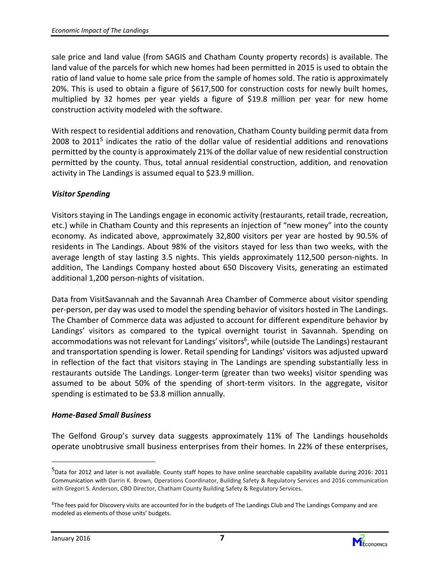sale price and land value (from SAGIS and Chatham County property records) is available. The land value of the parcels for which new homes had been permitted in 2015 is used to obtain the ratio of land value to home sale price from the sample of homes sold. The ratio is approximately 20%. This is used to obtain a figure of \$617,500 for construction costs for newly built homes, multiplied by 32 homes per year yields a figure of \$19.8 million per year for new home construction activity modeled with the software.

With respect to residential additions and renovation, Chatham County building permit data from 2008 to 2011<sup>5</sup> indicates the ratio of the dollar value of residential additions and renovations permitted by the county is approximately 21% of the dollar value of new residential construction permitted by the county. Thus, total annual residential construction, addition, and renovation activity in The Landings is assumed equal to \$23.9 million.

#### Visitor Spending

Visitors staying in The Landings engage in economic activity (restaurants, retail trade, recreation, etc.) while in Chatham County and this represents an injection of "new money" into the county economy. As indicated above, approximately 32,800 visitors per year are hosted by 90.5% of residents in The Landings. About 98% of the visitors stayed for less than two weeks, with the average length of stay lasting 3.5 nights. This yields approximately 112,500 person-nights. In addition, The Landings Company hosted about 650 Discovery Visits, generating an estimated additional 1,200 person-nights of visitation.

Data from VisitSavannah and the Savannah Area Chamber of Commerce about visitor spending per-person, per day was used to model the spending behavior of visitors hosted in The Landings. The Chamber of Commerce data was adjusted to account for different expenditure behavior by Landings' visitors as compared to the typical overnight tourist in Savannah. Spending on accommodations was not relevant for Landings' visitors<sup>6</sup>, while (outside The Landings) restaurant and transportation spending is lower. Retail spending for Landings' visitors was adjusted upward in reflection of the fact that visitors staying in The Landings are spending substantially less in restaurants outside The Landings. Longer-term (greater than two weeks) visitor spending was assumed to be about 50% of the spending of short-term visitors. In the aggregate, visitor spending is estimated to be \$3.8 million annually.

#### Home-Based Small Business

The Gelfond Group's survey data suggests approximately 11% of The Landings households operate unobtrusive small business enterprises from their homes. In 22% of these enterprises,



<sup>&</sup>lt;sup>5</sup>Data for 2012 and later is not available. County staff hopes to have online searchable capability available during 2016: 2011 Communication with Darrin K. Brown, Operations Coordinator, Building Safety & Regulatory Services and 2016 communication with Gregori S. Anderson, CBO Director, Chatham County Building Safety & Regulatory Services.

<sup>&</sup>lt;sup>6</sup>The fees paid for Discovery visits are accounted for in the budgets of The Landings Club and The Landings Company and are modeled as elements of those units' budgets.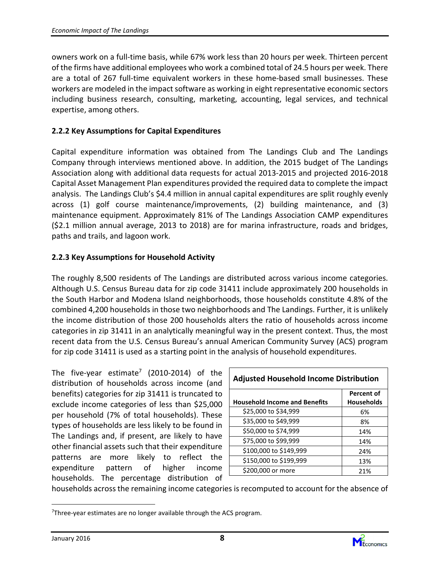owners work on a full-time basis, while 67% work less than 20 hours per week. Thirteen percent of the firms have additional employees who work a combined total of 24.5 hours per week. There are a total of 267 full-time equivalent workers in these home-based small businesses. These workers are modeled in the impact software as working in eight representative economic sectors including business research, consulting, marketing, accounting, legal services, and technical expertise, among others.

#### 2.2.2 Key Assumptions for Capital Expenditures

Capital expenditure information was obtained from The Landings Club and The Landings Company through interviews mentioned above. In addition, the 2015 budget of The Landings Association along with additional data requests for actual 2013-2015 and projected 2016-2018 Capital Asset Management Plan expenditures provided the required data to complete the impact analysis. The Landings Club's \$4.4 million in annual capital expenditures are split roughly evenly across (1) golf course maintenance/improvements, (2) building maintenance, and (3) maintenance equipment. Approximately 81% of The Landings Association CAMP expenditures (\$2.1 million annual average, 2013 to 2018) are for marina infrastructure, roads and bridges, paths and trails, and lagoon work.

#### 2.2.3 Key Assumptions for Household Activity

The roughly 8,500 residents of The Landings are distributed across various income categories. Although U.S. Census Bureau data for zip code 31411 include approximately 200 households in the South Harbor and Modena Island neighborhoods, those households constitute 4.8% of the combined 4,200 households in those two neighborhoods and The Landings. Further, it is unlikely the income distribution of those 200 households alters the ratio of households across income categories in zip 31411 in an analytically meaningful way in the present context. Thus, the most recent data from the U.S. Census Bureau's annual American Community Survey (ACS) program for zip code 31411 is used as a starting point in the analysis of household expenditures.

The five-year estimate<sup>7</sup> (2010-2014) of the distribution of households across income (and benefits) categories for zip 31411 is truncated to exclude income categories of less than \$25,000 per household (7% of total households). These types of households are less likely to be found in The Landings and, if present, are likely to have other financial assets such that their expenditure patterns are more likely to reflect the expenditure pattern of higher income households. The percentage distribution of

| <b>Adjusted Household Income Distribution</b> |                                        |  |  |  |
|-----------------------------------------------|----------------------------------------|--|--|--|
| <b>Household Income and Benefits</b>          | <b>Percent of</b><br><b>Households</b> |  |  |  |
| \$25,000 to \$34,999                          | 6%                                     |  |  |  |
| \$35,000 to \$49,999                          | 8%                                     |  |  |  |
| \$50,000 to \$74,999                          | 14%                                    |  |  |  |
| \$75,000 to \$99,999                          | 14%                                    |  |  |  |
| \$100,000 to \$149,999                        | 24%                                    |  |  |  |
| \$150,000 to \$199,999                        | 13%                                    |  |  |  |
| \$200,000 or more                             | 21%                                    |  |  |  |

households across the remaining income categories is recomputed to account for the absence of



 $7$ Three-year estimates are no longer available through the ACS program.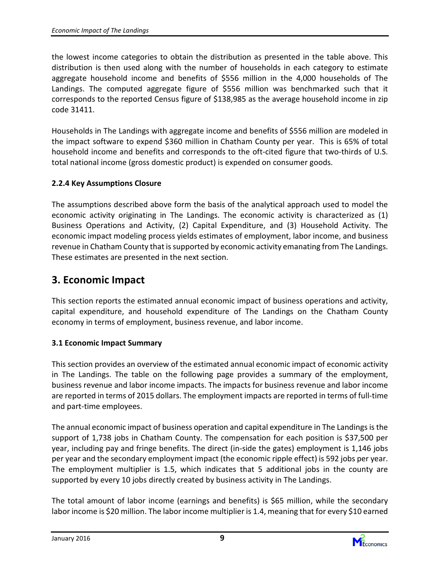the lowest income categories to obtain the distribution as presented in the table above. This distribution is then used along with the number of households in each category to estimate aggregate household income and benefits of \$556 million in the 4,000 households of The Landings. The computed aggregate figure of \$556 million was benchmarked such that it corresponds to the reported Census figure of \$138,985 as the average household income in zip code 31411.

Households in The Landings with aggregate income and benefits of \$556 million are modeled in the impact software to expend \$360 million in Chatham County per year. This is 65% of total household income and benefits and corresponds to the oft-cited figure that two-thirds of U.S. total national income (gross domestic product) is expended on consumer goods.

#### 2.2.4 Key Assumptions Closure

The assumptions described above form the basis of the analytical approach used to model the economic activity originating in The Landings. The economic activity is characterized as (1) Business Operations and Activity, (2) Capital Expenditure, and (3) Household Activity. The economic impact modeling process yields estimates of employment, labor income, and business revenue in Chatham County that is supported by economic activity emanating from The Landings. These estimates are presented in the next section.

### 3. Economic Impact

This section reports the estimated annual economic impact of business operations and activity, capital expenditure, and household expenditure of The Landings on the Chatham County economy in terms of employment, business revenue, and labor income.

#### 3.1 Economic Impact Summary

This section provides an overview of the estimated annual economic impact of economic activity in The Landings. The table on the following page provides a summary of the employment, business revenue and labor income impacts. The impacts for business revenue and labor income are reported in terms of 2015 dollars. The employment impacts are reported in terms of full-time and part-time employees.

The annual economic impact of business operation and capital expenditure in The Landings is the support of 1,738 jobs in Chatham County. The compensation for each position is \$37,500 per year, including pay and fringe benefits. The direct (in-side the gates) employment is 1,146 jobs per year and the secondary employment impact (the economic ripple effect) is 592 jobs per year. The employment multiplier is 1.5, which indicates that 5 additional jobs in the county are supported by every 10 jobs directly created by business activity in The Landings.

The total amount of labor income (earnings and benefits) is \$65 million, while the secondary labor income is \$20 million. The labor income multiplier is 1.4, meaning that for every \$10 earned

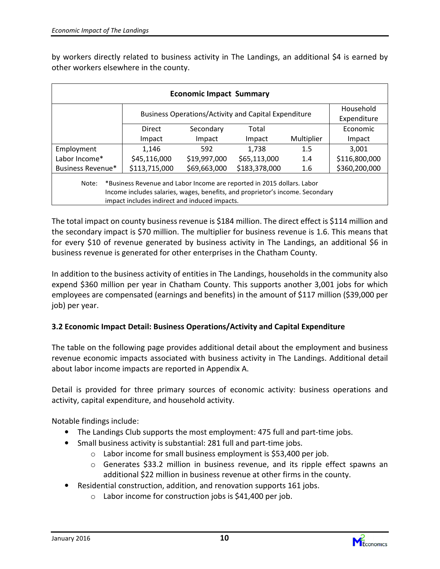by workers directly related to business activity in The Landings, an additional \$4 is earned by other workers elsewhere in the county.

| <b>Economic Impact Summary</b>                                                                                                                                                                                    |               |              |               |            |                          |  |  |  |
|-------------------------------------------------------------------------------------------------------------------------------------------------------------------------------------------------------------------|---------------|--------------|---------------|------------|--------------------------|--|--|--|
| <b>Business Operations/Activity and Capital Expenditure</b>                                                                                                                                                       |               |              |               |            | Household<br>Expenditure |  |  |  |
|                                                                                                                                                                                                                   | Direct        | Secondary    | Total         |            | Economic                 |  |  |  |
|                                                                                                                                                                                                                   | Impact        | Impact       | Impact        | Multiplier | Impact                   |  |  |  |
| Employment                                                                                                                                                                                                        | 1,146         | 592          | 1,738         | 1.5        | 3.001                    |  |  |  |
| Labor Income*                                                                                                                                                                                                     | \$45,116,000  | \$19,997,000 | \$65,113,000  | 1.4        | \$116,800,000            |  |  |  |
| Business Revenue*                                                                                                                                                                                                 | \$113,715,000 | \$69,663,000 | \$183,378,000 | 1.6        | \$360,200,000            |  |  |  |
| *Business Revenue and Labor Income are reported in 2015 dollars. Labor<br>Note:<br>Income includes salaries, wages, benefits, and proprietor's income. Secondary<br>impact includes indirect and induced impacts. |               |              |               |            |                          |  |  |  |

The total impact on county business revenue is \$184 million. The direct effect is \$114 million and the secondary impact is \$70 million. The multiplier for business revenue is 1.6. This means that for every \$10 of revenue generated by business activity in The Landings, an additional \$6 in business revenue is generated for other enterprises in the Chatham County.

In addition to the business activity of entities in The Landings, households in the community also expend \$360 million per year in Chatham County. This supports another 3,001 jobs for which employees are compensated (earnings and benefits) in the amount of \$117 million (\$39,000 per job) per year.

#### 3.2 Economic Impact Detail: Business Operations/Activity and Capital Expenditure

The table on the following page provides additional detail about the employment and business revenue economic impacts associated with business activity in The Landings. Additional detail about labor income impacts are reported in Appendix A.

Detail is provided for three primary sources of economic activity: business operations and activity, capital expenditure, and household activity.

Notable findings include:

- The Landings Club supports the most employment: 475 full and part-time jobs.
- Small business activity is substantial: 281 full and part-time jobs.
	- o Labor income for small business employment is \$53,400 per job.
	- o Generates \$33.2 million in business revenue, and its ripple effect spawns an additional \$22 million in business revenue at other firms in the county.
- Residential construction, addition, and renovation supports 161 jobs.
	- $\circ$  Labor income for construction jobs is \$41,400 per job.



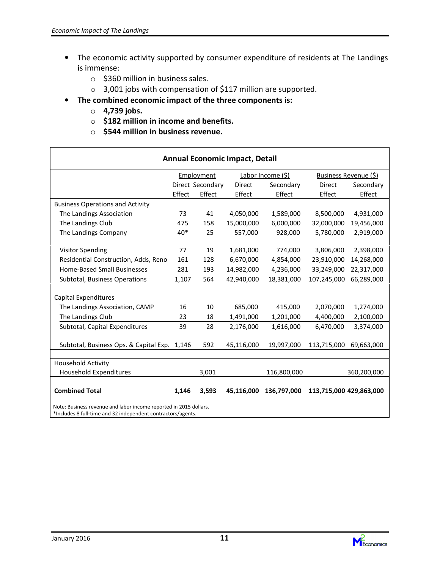- The economic activity supported by consumer expenditure of residents at The Landings is immense:
	- o \$360 million in business sales.
	- o 3,001 jobs with compensation of \$117 million are supported.
- The combined economic impact of the three components is:
	- o 4,739 jobs.
	- $\circ$  \$182 million in income and benefits.
	- $\circ$  \$544 million in business revenue.

| <b>Annual Economic Impact, Detail</b>                                                           |                                                                 |                  |            |            |             |            |  |
|-------------------------------------------------------------------------------------------------|-----------------------------------------------------------------|------------------|------------|------------|-------------|------------|--|
|                                                                                                 | Labor Income (\$)<br>Employment<br><b>Business Revenue (\$)</b> |                  |            |            |             |            |  |
|                                                                                                 |                                                                 | Direct Secondary | Direct     | Secondary  | Direct      | Secondary  |  |
|                                                                                                 | Effect                                                          | Effect           | Effect     | Effect     | Effect      | Effect     |  |
| <b>Business Operations and Activity</b>                                                         |                                                                 |                  |            |            |             |            |  |
| The Landings Association                                                                        | 73                                                              | 41               | 4,050,000  | 1,589,000  | 8,500,000   | 4,931,000  |  |
| The Landings Club                                                                               | 475                                                             | 158              | 15,000,000 | 6,000,000  | 32,000,000  | 19,456,000 |  |
| The Landings Company                                                                            | 40*                                                             | 25               | 557,000    | 928,000    | 5,780,000   | 2,919,000  |  |
|                                                                                                 |                                                                 |                  |            |            |             |            |  |
| <b>Visitor Spending</b>                                                                         | 77                                                              | 19               | 1,681,000  | 774,000    | 3,806,000   | 2,398,000  |  |
| Residential Construction, Adds, Reno                                                            | 161                                                             | 128              | 6,670,000  | 4,854,000  | 23,910,000  | 14,268,000 |  |
| Home-Based Small Businesses                                                                     | 281                                                             | 193              | 14,982,000 | 4,236,000  | 33,249,000  | 22,317,000 |  |
| Subtotal, Business Operations                                                                   | 1,107                                                           | 564              | 42,940,000 | 18,381,000 | 107,245,000 | 66,289,000 |  |
| Capital Expenditures                                                                            |                                                                 |                  |            |            |             |            |  |
| The Landings Association, CAMP                                                                  | 16                                                              | 10               | 685,000    | 415,000    | 2,070,000   | 1,274,000  |  |
| The Landings Club                                                                               | 23                                                              | 18               | 1,491,000  | 1,201,000  | 4,400,000   | 2,100,000  |  |
| Subtotal, Capital Expenditures                                                                  | 39                                                              | 28               | 2,176,000  | 1,616,000  | 6,470,000   | 3,374,000  |  |
|                                                                                                 |                                                                 |                  |            |            |             |            |  |
| Subtotal, Business Ops. & Capital Exp. 1,146                                                    |                                                                 | 592              | 45,116,000 | 19,997,000 | 113,715,000 | 69,663,000 |  |
|                                                                                                 |                                                                 |                  |            |            |             |            |  |
| <b>Household Activity</b>                                                                       |                                                                 |                  |            |            |             |            |  |
| <b>Household Expenditures</b><br>3,001<br>116,800,000<br>360,200,000                            |                                                                 |                  |            |            |             |            |  |
| <b>Combined Total</b><br>1,146<br>3,593<br>45,116,000<br>136,797,000<br>113,715,000 429,863,000 |                                                                 |                  |            |            |             |            |  |
| حالجات محمده مزاح جعدجه                                                                         |                                                                 |                  |            |            |             |            |  |

Note: Business revenue and labor income reported in 2015 dollars. \*Includes 8 full-time and 32 independent contractors/agents.

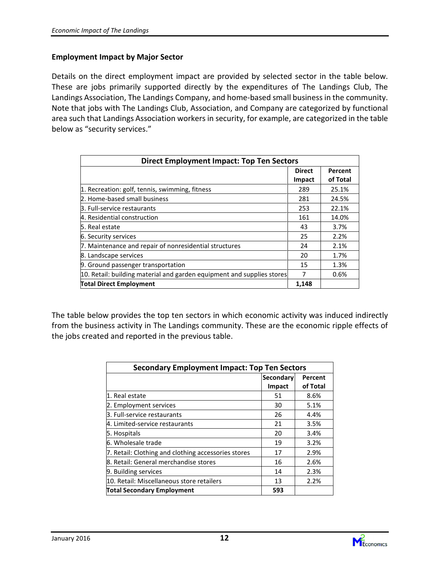#### Employment Impact by Major Sector

Details on the direct employment impact are provided by selected sector in the table below. These are jobs primarily supported directly by the expenditures of The Landings Club, The Landings Association, The Landings Company, and home-based small business in the community. Note that jobs with The Landings Club, Association, and Company are categorized by functional area such that Landings Association workers in security, for example, are categorized in the table below as "security services."

| <b>Direct Employment Impact: Top Ten Sectors</b>                       |               |          |  |  |
|------------------------------------------------------------------------|---------------|----------|--|--|
|                                                                        | <b>Direct</b> | Percent  |  |  |
|                                                                        | Impact        | of Total |  |  |
| 1. Recreation: golf, tennis, swimming, fitness                         | 289           | 25.1%    |  |  |
| 2. Home-based small business                                           | 281           | 24.5%    |  |  |
| 3. Full-service restaurants                                            | 253           | 22.1%    |  |  |
| 4. Residential construction                                            | 161           | 14.0%    |  |  |
| 5. Real estate                                                         | 43            | 3.7%     |  |  |
| 6. Security services                                                   | 25            | 2.2%     |  |  |
| 7. Maintenance and repair of nonresidential structures                 | 24            | 2.1%     |  |  |
| 8. Landscape services                                                  | 20            | 1.7%     |  |  |
| 9. Ground passenger transportation                                     | 15            | 1.3%     |  |  |
| 10. Retail: building material and garden equipment and supplies stores | 7             | 0.6%     |  |  |
| <b>Total Direct Employment</b>                                         | 1,148         |          |  |  |

The table below provides the top ten sectors in which economic activity was induced indirectly from the business activity in The Landings community. These are the economic ripple effects of the jobs created and reported in the previous table.

| <b>Secondary Employment Impact: Top Ten Sectors</b> |        |          |  |  |  |
|-----------------------------------------------------|--------|----------|--|--|--|
| Secondary<br>Percent                                |        |          |  |  |  |
|                                                     | Impact | of Total |  |  |  |
| 1. Real estate                                      | 51     | 8.6%     |  |  |  |
| 2. Employment services                              | 30     | 5.1%     |  |  |  |
| 3. Full-service restaurants                         | 26     | 4.4%     |  |  |  |
| 4. Limited-service restaurants                      | 21     | 3.5%     |  |  |  |
| 5. Hospitals                                        | 20     | 3.4%     |  |  |  |
| 6. Wholesale trade                                  | 19     | 3.2%     |  |  |  |
| 7. Retail: Clothing and clothing accessories stores | 17     | 2.9%     |  |  |  |
| 8. Retail: General merchandise stores               | 16     | 2.6%     |  |  |  |
| 9. Building services                                | 14     | 2.3%     |  |  |  |
| 10. Retail: Miscellaneous store retailers           | 13     | 2.2%     |  |  |  |
| <b>Total Secondary Employment</b>                   | 593    |          |  |  |  |

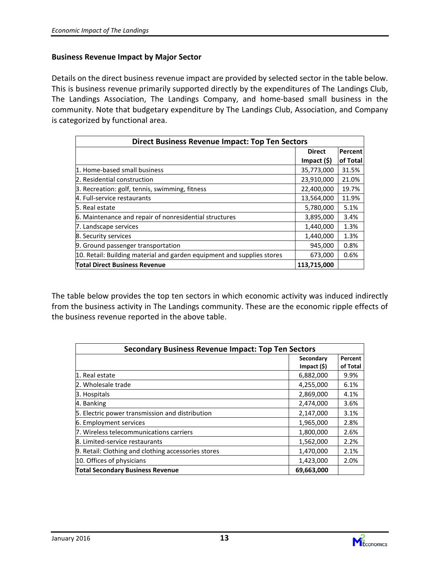#### Business Revenue Impact by Major Sector

Details on the direct business revenue impact are provided by selected sector in the table below. This is business revenue primarily supported directly by the expenditures of The Landings Club, The Landings Association, The Landings Company, and home-based small business in the community. Note that budgetary expenditure by The Landings Club, Association, and Company is categorized by functional area.

| <b>Direct Business Revenue Impact: Top Ten Sectors</b>                 |                   |          |  |  |
|------------------------------------------------------------------------|-------------------|----------|--|--|
|                                                                        | <b>Direct</b>     | Percent  |  |  |
|                                                                        | $Im$ pact $(\xi)$ | of Total |  |  |
| 1. Home-based small business                                           | 35,773,000        | 31.5%    |  |  |
| 2. Residential construction                                            | 23,910,000        | 21.0%    |  |  |
| 3. Recreation: golf, tennis, swimming, fitness                         | 22,400,000        | 19.7%    |  |  |
| 4. Full-service restaurants                                            | 13,564,000        | 11.9%    |  |  |
| 5. Real estate                                                         | 5,780,000         | 5.1%     |  |  |
| 6. Maintenance and repair of nonresidential structures                 | 3,895,000         | 3.4%     |  |  |
| 7. Landscape services                                                  | 1,440,000         | 1.3%     |  |  |
| 8. Security services                                                   | 1,440,000         | 1.3%     |  |  |
| 9. Ground passenger transportation                                     | 945,000           | 0.8%     |  |  |
| 10. Retail: Building material and garden equipment and supplies stores | 673,000           | 0.6%     |  |  |
| <b>Total Direct Business Revenue</b>                                   | 113,715,000       |          |  |  |

The table below provides the top ten sectors in which economic activity was induced indirectly from the business activity in The Landings community. These are the economic ripple effects of the business revenue reported in the above table.

| <b>Secondary Business Revenue Impact: Top Ten Sectors</b> |            |          |  |  |  |
|-----------------------------------------------------------|------------|----------|--|--|--|
|                                                           | Secondary  | Percent  |  |  |  |
|                                                           | Import (§) | of Total |  |  |  |
| 1. Real estate                                            | 6,882,000  | 9.9%     |  |  |  |
| 2. Wholesale trade                                        | 4,255,000  | 6.1%     |  |  |  |
| 3. Hospitals                                              | 2,869,000  | 4.1%     |  |  |  |
| 4. Banking                                                | 2,474,000  | 3.6%     |  |  |  |
| 5. Electric power transmission and distribution           | 2,147,000  | 3.1%     |  |  |  |
| 6. Employment services                                    | 1,965,000  | 2.8%     |  |  |  |
| 7. Wireless telecommunications carriers                   | 1,800,000  | 2.6%     |  |  |  |
| 8. Limited-service restaurants                            | 1,562,000  | 2.2%     |  |  |  |
| 9. Retail: Clothing and clothing accessories stores       | 1,470,000  | 2.1%     |  |  |  |
| 10. Offices of physicians                                 | 1,423,000  | 2.0%     |  |  |  |
| <b>Total Secondary Business Revenue</b>                   | 69,663,000 |          |  |  |  |

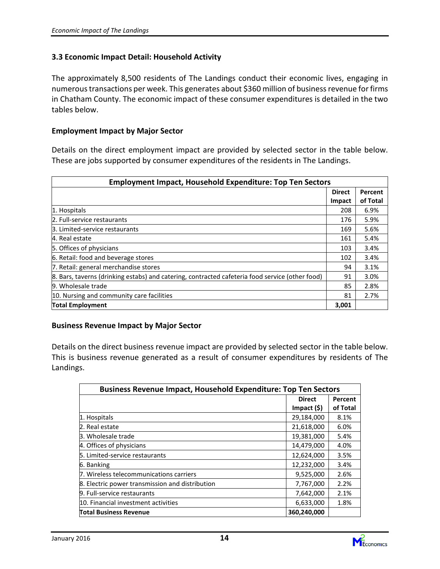#### 3.3 Economic Impact Detail: Household Activity

The approximately 8,500 residents of The Landings conduct their economic lives, engaging in numerous transactions per week. This generates about \$360 million of business revenue for firms in Chatham County. The economic impact of these consumer expenditures is detailed in the two tables below.

#### Employment Impact by Major Sector

Details on the direct employment impact are provided by selected sector in the table below. These are jobs supported by consumer expenditures of the residents in The Landings.

| <b>Employment Impact, Household Expenditure: Top Ten Sectors</b>                                |               |          |  |  |
|-------------------------------------------------------------------------------------------------|---------------|----------|--|--|
|                                                                                                 | <b>Direct</b> | Percent  |  |  |
|                                                                                                 | Impact        | of Total |  |  |
| 1. Hospitals                                                                                    | 208           | 6.9%     |  |  |
| 2. Full-service restaurants                                                                     | 176           | 5.9%     |  |  |
| B. Limited-service restaurants                                                                  | 169           | 5.6%     |  |  |
| 4. Real estate                                                                                  | 161           | 5.4%     |  |  |
| 5. Offices of physicians                                                                        | 103           | 3.4%     |  |  |
| 6. Retail: food and beverage stores                                                             | 102           | 3.4%     |  |  |
| 7. Retail: general merchandise stores                                                           | 94            | 3.1%     |  |  |
| 8. Bars, taverns (drinking estabs) and catering, contracted cafeteria food service (other food) | 91            | 3.0%     |  |  |
| 9. Wholesale trade                                                                              | 85            | 2.8%     |  |  |
| 10. Nursing and community care facilities                                                       | 81            | 2.7%     |  |  |
| <b>Total Employment</b>                                                                         | 3,001         |          |  |  |

#### Business Revenue Impact by Major Sector

Details on the direct business revenue impact are provided by selected sector in the table below. This is business revenue generated as a result of consumer expenditures by residents of The Landings.

| <b>Business Revenue Impact, Household Expenditure: Top Ten Sectors</b> |                   |          |  |
|------------------------------------------------------------------------|-------------------|----------|--|
|                                                                        | <b>Direct</b>     | Percent  |  |
|                                                                        | $Im$ pact $(\xi)$ | of Total |  |
| 1. Hospitals                                                           | 29,184,000        | 8.1%     |  |
| 2. Real estate                                                         | 21,618,000        | 6.0%     |  |
| 3. Wholesale trade                                                     | 19,381,000        | 5.4%     |  |
| 4. Offices of physicians                                               | 14,479,000        | 4.0%     |  |
| 5. Limited-service restaurants                                         | 12,624,000        | 3.5%     |  |
| 6. Banking                                                             | 12,232,000        | 3.4%     |  |
| 7. Wireless telecommunications carriers                                | 9,525,000         | 2.6%     |  |
| 8. Electric power transmission and distribution                        | 7,767,000         | 2.2%     |  |
| 9. Full-service restaurants                                            | 7,642,000         | 2.1%     |  |
| 10. Financial investment activities                                    | 6,633,000         | 1.8%     |  |
| <b>Total Business Revenue</b>                                          | 360,240,000       |          |  |

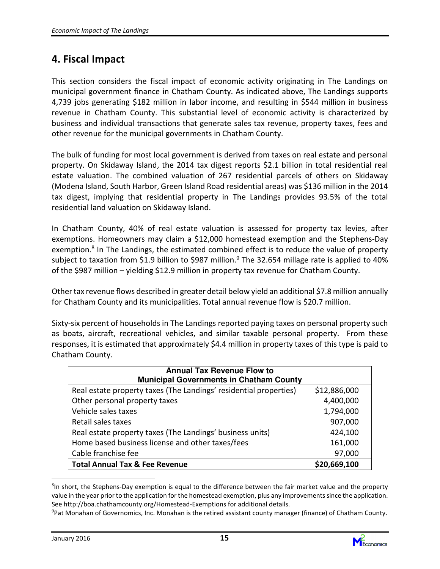## 4. Fiscal Impact

This section considers the fiscal impact of economic activity originating in The Landings on municipal government finance in Chatham County. As indicated above, The Landings supports 4,739 jobs generating \$182 million in labor income, and resulting in \$544 million in business revenue in Chatham County. This substantial level of economic activity is characterized by business and individual transactions that generate sales tax revenue, property taxes, fees and other revenue for the municipal governments in Chatham County.

The bulk of funding for most local government is derived from taxes on real estate and personal property. On Skidaway Island, the 2014 tax digest reports \$2.1 billion in total residential real estate valuation. The combined valuation of 267 residential parcels of others on Skidaway (Modena Island, South Harbor, Green Island Road residential areas) was \$136 million in the 2014 tax digest, implying that residential property in The Landings provides 93.5% of the total residential land valuation on Skidaway Island.

In Chatham County, 40% of real estate valuation is assessed for property tax levies, after exemptions. Homeowners may claim a \$12,000 homestead exemption and the Stephens-Day exemption.<sup>8</sup> In The Landings, the estimated combined effect is to reduce the value of property subject to taxation from \$1.9 billion to \$987 million.<sup>9</sup> The 32.654 millage rate is applied to 40% of the \$987 million – yielding \$12.9 million in property tax revenue for Chatham County.

Other tax revenue flows described in greater detail below yield an additional \$7.8 million annually for Chatham County and its municipalities. Total annual revenue flow is \$20.7 million.

Sixty-six percent of households in The Landings reported paying taxes on personal property such as boats, aircraft, recreational vehicles, and similar taxable personal property. From these responses, it is estimated that approximately \$4.4 million in property taxes of this type is paid to Chatham County.

| <b>Annual Tax Revenue Flow to</b><br><b>Municipal Governments in Chatham County</b> |              |  |  |  |
|-------------------------------------------------------------------------------------|--------------|--|--|--|
| Real estate property taxes (The Landings' residential properties)                   | \$12,886,000 |  |  |  |
| Other personal property taxes                                                       | 4,400,000    |  |  |  |
| Vehicle sales taxes                                                                 | 1,794,000    |  |  |  |
| Retail sales taxes                                                                  | 907,000      |  |  |  |
| Real estate property taxes (The Landings' business units)                           | 424,100      |  |  |  |
| Home based business license and other taxes/fees                                    | 161,000      |  |  |  |
| Cable franchise fee                                                                 | 97,000       |  |  |  |
| <b>Total Annual Tax &amp; Fee Revenue</b>                                           | \$20,669,100 |  |  |  |

<sup>&</sup>lt;sup>8</sup>In short, the Stephens-Day exemption is equal to the difference between the fair market value and the property value in the year prior to the application for the homestead exemption, plus any improvements since the application. See http://boa.chathamcounty.org/Homestead-Exemptions for additional details.



<sup>9</sup>Pat Monahan of Governomics, Inc. Monahan is the retired assistant county manager (finance) of Chatham County.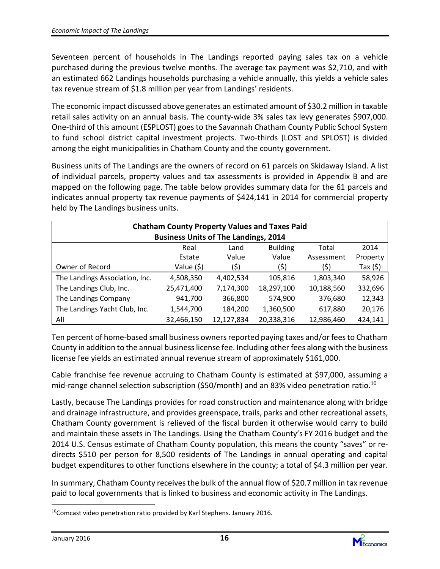Seventeen percent of households in The Landings reported paying sales tax on a vehicle purchased during the previous twelve months. The average tax payment was \$2,710, and with an estimated 662 Landings households purchasing a vehicle annually, this yields a vehicle sales tax revenue stream of \$1.8 million per year from Landings' residents.

The economic impact discussed above generates an estimated amount of \$30.2 million in taxable retail sales activity on an annual basis. The county-wide 3% sales tax levy generates \$907,000. One-third of this amount (ESPLOST) goes to the Savannah Chatham County Public School System to fund school district capital investment projects. Two-thirds (LOST and SPLOST) is divided among the eight municipalities in Chatham County and the county government.

Business units of The Landings are the owners of record on 61 parcels on Skidaway Island. A list of individual parcels, property values and tax assessments is provided in Appendix B and are mapped on the following page. The table below provides summary data for the 61 parcels and indicates annual property tax revenue payments of \$424,141 in 2014 for commercial property held by The Landings business units.

| <b>Chatham County Property Values and Taxes Paid</b> |                                                  |            |            |            |           |  |  |  |
|------------------------------------------------------|--------------------------------------------------|------------|------------|------------|-----------|--|--|--|
| <b>Business Units of The Landings, 2014</b>          |                                                  |            |            |            |           |  |  |  |
|                                                      | <b>Building</b><br>2014<br>Real<br>Total<br>Land |            |            |            |           |  |  |  |
|                                                      | Estate                                           | Value      | Value      | Assessment | Property  |  |  |  |
| Owner of Record                                      | Value (\$)                                       | (\$)       | (5)        | (\$)       | Tax $(5)$ |  |  |  |
| The Landings Association, Inc.                       | 4,508,350                                        | 4,402,534  | 105,816    | 1,803,340  | 58,926    |  |  |  |
| The Landings Club, Inc.                              | 25,471,400                                       | 7,174,300  | 18,297,100 | 10,188,560 | 332,696   |  |  |  |
| The Landings Company                                 | 941,700                                          | 366,800    | 574,900    | 376,680    | 12,343    |  |  |  |
| The Landings Yacht Club, Inc.                        | 1,544,700                                        | 184,200    | 1,360,500  | 617,880    | 20,176    |  |  |  |
| All                                                  | 32,466,150                                       | 12,127,834 | 20,338,316 | 12,986,460 | 424,141   |  |  |  |

Ten percent of home-based small business owners reported paying taxes and/or fees to Chatham County in addition to the annual business license fee. Including other fees along with the business license fee yields an estimated annual revenue stream of approximately \$161,000.

Cable franchise fee revenue accruing to Chatham County is estimated at \$97,000, assuming a mid-range channel selection subscription (\$50/month) and an 83% video penetration ratio.<sup>10</sup>

Lastly, because The Landings provides for road construction and maintenance along with bridge and drainage infrastructure, and provides greenspace, trails, parks and other recreational assets, Chatham County government is relieved of the fiscal burden it otherwise would carry to build and maintain these assets in The Landings. Using the Chatham County's FY 2016 budget and the 2014 U.S. Census estimate of Chatham County population, this means the county "saves" or redirects \$510 per person for 8,500 residents of The Landings in annual operating and capital budget expenditures to other functions elsewhere in the county; a total of \$4.3 million per year.

In summary, Chatham County receives the bulk of the annual flow of \$20.7 million in tax revenue paid to local governments that is linked to business and economic activity in The Landings. l.



 $10$ Comcast video penetration ratio provided by Karl Stephens. January 2016.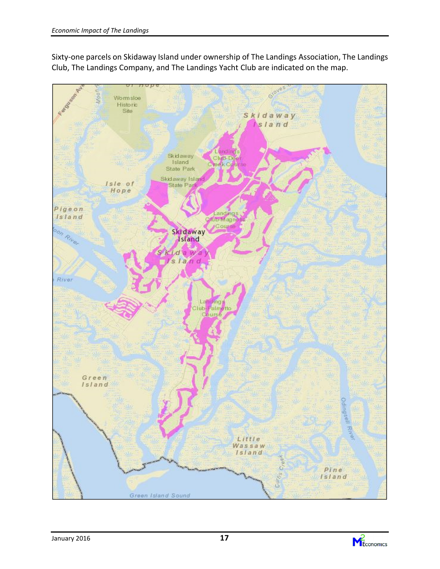

Sixty-one parcels on Skidaway Island under ownership of The Landings Association, The Landings Club, The Landings Company, and The Landings Yacht Club are indicated on the map.

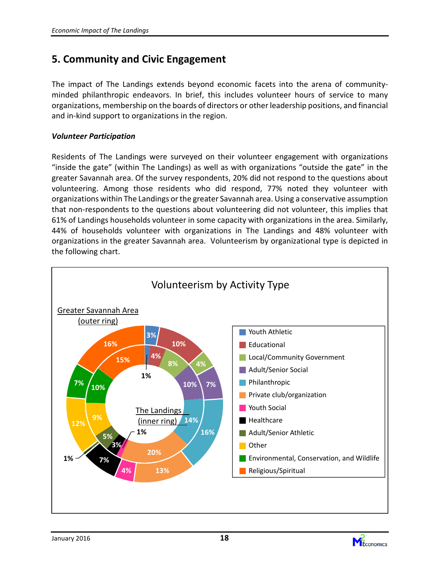## 5. Community and Civic Engagement

The impact of The Landings extends beyond economic facets into the arena of communityminded philanthropic endeavors. In brief, this includes volunteer hours of service to many organizations, membership on the boards of directors or other leadership positions, and financial and in-kind support to organizations in the region.

#### Volunteer Participation

Residents of The Landings were surveyed on their volunteer engagement with organizations "inside the gate" (within The Landings) as well as with organizations "outside the gate" in the greater Savannah area. Of the survey respondents, 20% did not respond to the questions about volunteering. Among those residents who did respond, 77% noted they volunteer with organizations within The Landings or the greater Savannah area. Using a conservative assumption that non-respondents to the questions about volunteering did not volunteer, this implies that 61% of Landings households volunteer in some capacity with organizations in the area. Similarly, 44% of households volunteer with organizations in The Landings and 48% volunteer with organizations in the greater Savannah area. Volunteerism by organizational type is depicted in the following chart.



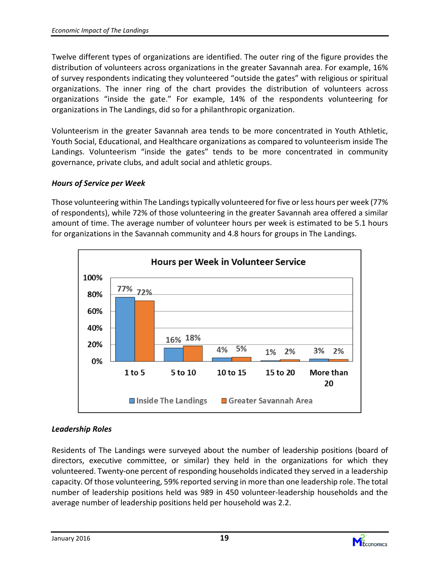Twelve different types of organizations are identified. The outer ring of the figure provides the distribution of volunteers across organizations in the greater Savannah area. For example, 16% of survey respondents indicating they volunteered "outside the gates" with religious or spiritual organizations. The inner ring of the chart provides the distribution of volunteers across organizations "inside the gate." For example, 14% of the respondents volunteering for organizations in The Landings, did so for a philanthropic organization.

Volunteerism in the greater Savannah area tends to be more concentrated in Youth Athletic, Youth Social, Educational, and Healthcare organizations as compared to volunteerism inside The Landings. Volunteerism "inside the gates" tends to be more concentrated in community governance, private clubs, and adult social and athletic groups.

#### Hours of Service per Week

Those volunteering within The Landings typically volunteered for five or less hours per week (77% of respondents), while 72% of those volunteering in the greater Savannah area offered a similar amount of time. The average number of volunteer hours per week is estimated to be 5.1 hours for organizations in the Savannah community and 4.8 hours for groups in The Landings.



#### Leadership Roles

Residents of The Landings were surveyed about the number of leadership positions (board of directors, executive committee, or similar) they held in the organizations for which they volunteered. Twenty-one percent of responding households indicated they served in a leadership capacity. Of those volunteering, 59% reported serving in more than one leadership role. The total number of leadership positions held was 989 in 450 volunteer-leadership households and the average number of leadership positions held per household was 2.2.

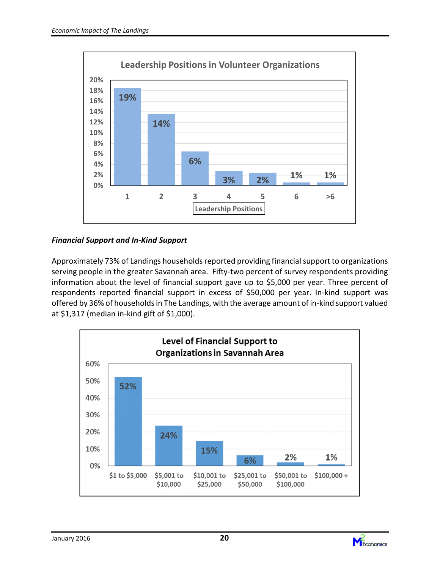

#### Financial Support and In-Kind Support

Approximately 73% of Landings households reported providing financial support to organizations serving people in the greater Savannah area. Fifty-two percent of survey respondents providing information about the level of financial support gave up to \$5,000 per year. Three percent of respondents reported financial support in excess of \$50,000 per year. In-kind support was offered by 36% of households in The Landings, with the average amount of in-kind support valued at \$1,317 (median in-kind gift of \$1,000).





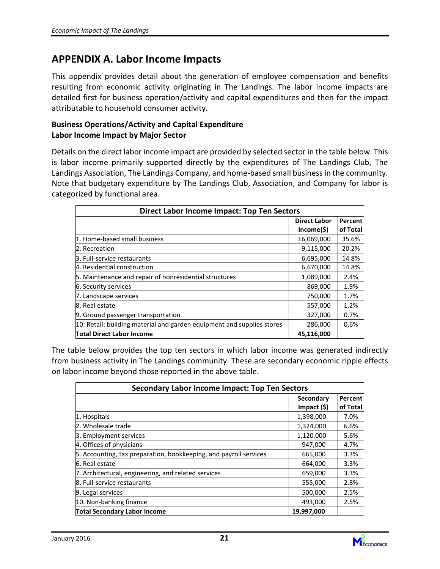## APPENDIX A. Labor Income Impacts

This appendix provides detail about the generation of employee compensation and benefits resulting from economic activity originating in The Landings. The labor income impacts are detailed first for business operation/activity and capital expenditures and then for the impact attributable to household consumer activity.

#### Business Operations/Activity and Capital Expenditure Labor Income Impact by Major Sector

Details on the direct labor income impact are provided by selected sector in the table below. This is labor income primarily supported directly by the expenditures of The Landings Club, The Landings Association, The Landings Company, and home-based small business in the community. Note that budgetary expenditure by The Landings Club, Association, and Company for labor is categorized by functional area.

| <b>Direct Labor Income Impact: Top Ten Sectors</b>                     |                     |          |  |  |  |
|------------------------------------------------------------------------|---------------------|----------|--|--|--|
|                                                                        | <b>Direct Labor</b> | Percent  |  |  |  |
|                                                                        | $Income($ \$)       | of Total |  |  |  |
| 1. Home-based small business                                           | 16,069,000          | 35.6%    |  |  |  |
| 2. Recreation                                                          | 9,115,000           | 20.2%    |  |  |  |
| B. Full-service restaurants                                            | 6,695,000           | 14.8%    |  |  |  |
| 4. Residential construction                                            | 6,670,000           | 14.8%    |  |  |  |
| 5. Maintenance and repair of nonresidential structures                 | 1,089,000           | 2.4%     |  |  |  |
| 6. Security services                                                   | 869,000             | 1.9%     |  |  |  |
| 7. Landscape services                                                  | 750,000             | 1.7%     |  |  |  |
| 8. Real estate                                                         | 557,000             | 1.2%     |  |  |  |
| 9. Ground passenger transportation                                     | 327,000             | 0.7%     |  |  |  |
| 10: Retail: building material and garden equipment and supplies stores | 286,000             | 0.6%     |  |  |  |
| <b>Total Direct Labor Income</b>                                       | 45,116,000          |          |  |  |  |

The table below provides the top ten sectors in which labor income was generated indirectly from business activity in The Landings community. These are secondary economic ripple effects on labor income beyond those reported in the above table.

| <b>Secondary Labor Income Impact: Top Ten Sectors</b>             |                  |          |  |  |  |
|-------------------------------------------------------------------|------------------|----------|--|--|--|
|                                                                   | Secondary        | Percent  |  |  |  |
|                                                                   | $Im$ pact $(\$)$ | of Total |  |  |  |
| 1. Hospitals                                                      | 1,398,000        | 7.0%     |  |  |  |
| 2. Wholesale trade                                                | 1,324,000        | 6.6%     |  |  |  |
| 3. Employment services                                            | 1,120,000        | 5.6%     |  |  |  |
| 4. Offices of physicians                                          | 947,000          | 4.7%     |  |  |  |
| 5. Accounting, tax preparation, bookkeeping, and payroll services | 665,000          | 3.3%     |  |  |  |
| 6. Real estate                                                    | 664,000          | 3.3%     |  |  |  |
| 7. Architectural, engineering, and related services               | 659,000          | 3.3%     |  |  |  |
| 8. Full-service restaurants                                       | 555,000          | 2.8%     |  |  |  |
| 9. Legal services                                                 | 500,000          | 2.5%     |  |  |  |
| 10. Non-banking finance                                           | 493,000          | 2.5%     |  |  |  |
| Total Secondary Labor Income                                      | 19,997,000       |          |  |  |  |

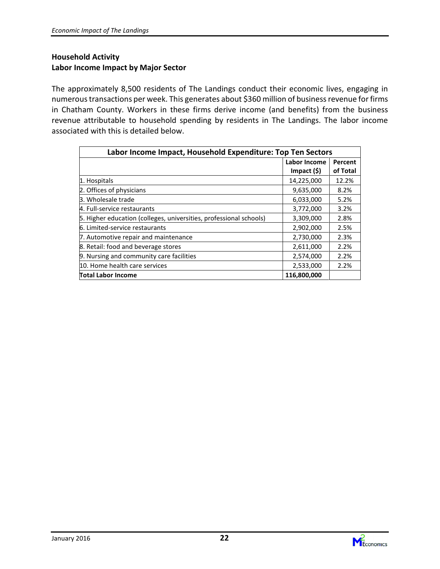#### Household Activity Labor Income Impact by Major Sector

The approximately 8,500 residents of The Landings conduct their economic lives, engaging in numerous transactions per week. This generates about \$360 million of business revenue for firms in Chatham County. Workers in these firms derive income (and benefits) from the business revenue attributable to household spending by residents in The Landings. The labor income associated with this is detailed below.

| Labor Income Impact, Household Expenditure: Top Ten Sectors        |                  |          |  |  |  |
|--------------------------------------------------------------------|------------------|----------|--|--|--|
|                                                                    | Labor Income     | Percent  |  |  |  |
|                                                                    | $Im$ pact $(\$)$ | of Total |  |  |  |
| 1. Hospitals                                                       | 14,225,000       | 12.2%    |  |  |  |
| 2. Offices of physicians                                           | 9,635,000        | 8.2%     |  |  |  |
| 3. Wholesale trade                                                 | 6,033,000        | 5.2%     |  |  |  |
| 4. Full-service restaurants                                        | 3,772,000        | 3.2%     |  |  |  |
| 5. Higher education (colleges, universities, professional schools) | 3,309,000        | 2.8%     |  |  |  |
| 6. Limited-service restaurants                                     | 2,902,000        | 2.5%     |  |  |  |
| 7. Automotive repair and maintenance                               | 2,730,000        | 2.3%     |  |  |  |
| 8. Retail: food and beverage stores                                | 2,611,000        | 2.2%     |  |  |  |
| 9. Nursing and community care facilities                           | 2,574,000        | 2.2%     |  |  |  |
| 10. Home health care services                                      | 2,533,000        | 2.2%     |  |  |  |
| Total Labor Income                                                 | 116,800,000      |          |  |  |  |

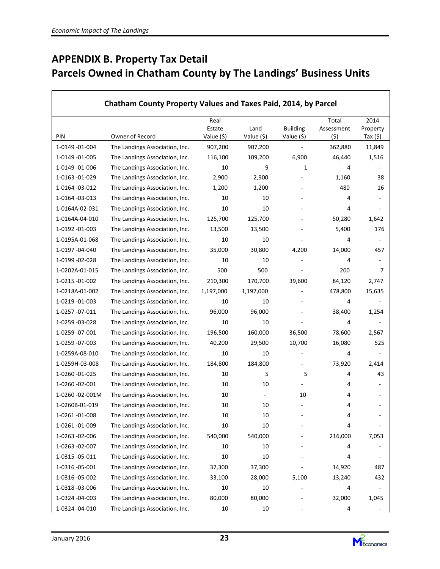# APPENDIX B. Property Tax Detail Parcels Owned in Chatham County by The Landings' Business Units

| Chatham County Property Values and Taxes Paid, 2014, by Parcel |                                                                  |             |              |                              |            |                          |
|----------------------------------------------------------------|------------------------------------------------------------------|-------------|--------------|------------------------------|------------|--------------------------|
|                                                                |                                                                  | Real        |              |                              | Total      | 2014                     |
| PIN                                                            |                                                                  | Estate      | Land         | <b>Building</b>              | Assessment | Property                 |
|                                                                | Owner of Record                                                  | Value (\$)  | Value (\$)   | Value (\$)<br>$\overline{a}$ | (\$)       | Tax $(5)$                |
| 1-0149 -01-004<br>1-0149 -01-005                               | The Landings Association, Inc.                                   | 907,200     | 907,200      |                              | 362,880    | 11,849                   |
|                                                                | The Landings Association, Inc.<br>The Landings Association, Inc. | 116,100     | 109,200      | 6,900                        | 46,440     | 1,516                    |
| 1-0149 -01-006<br>1-0163 -01-029                               | The Landings Association, Inc.                                   | 10<br>2,900 | 9<br>2,900   | 1                            | 4<br>1,160 | 38                       |
| 1-0164 -03-012                                                 | The Landings Association, Inc.                                   | 1,200       | 1,200        |                              | 480        | 16                       |
| 1-0164 -03-013                                                 | The Landings Association, Inc.                                   | 10          | 10           |                              | 4          |                          |
| 1-0164A-02-031                                                 | The Landings Association, Inc.                                   | 10          | 10           |                              | 4          | $\overline{\phantom{a}}$ |
| 1-0164A-04-010                                                 | The Landings Association, Inc.                                   | 125,700     | 125,700      |                              | 50,280     | 1,642                    |
| 1-0192 -01-003                                                 |                                                                  | 13,500      |              |                              | 5,400      | 176                      |
| 1-0195A-01-068                                                 | The Landings Association, Inc.<br>The Landings Association, Inc. | 10          | 13,500<br>10 |                              | 4          | ٠                        |
| 1-0197 -04-040                                                 |                                                                  | 35,000      | 30,800       | 4,200                        | 14,000     | 457                      |
| 1-0199 -02-028                                                 | The Landings Association, Inc.<br>The Landings Association, Inc. | 10          | 10           |                              | 4          | $\overline{\phantom{a}}$ |
| 1-0202A-01-015                                                 |                                                                  | 500         | 500          |                              | 200        | 7                        |
| 1-0215 -01-002                                                 | The Landings Association, Inc.                                   |             |              |                              |            |                          |
|                                                                | The Landings Association, Inc.                                   | 210,300     | 170,700      | 39,600                       | 84,120     | 2,747                    |
| 1-0218A-01-002                                                 | The Landings Association, Inc.                                   | 1,197,000   | 1,197,000    |                              | 478,800    | 15,635                   |
| 1-0219 -01-003                                                 | The Landings Association, Inc.                                   | 10          | 10           |                              | 4          |                          |
| 1-0257 -07-011                                                 | The Landings Association, Inc.                                   | 96,000      | 96,000       |                              | 38,400     | 1,254                    |
| 1-0259 -03-028                                                 | The Landings Association, Inc.                                   | 10          | 10           |                              | 4          |                          |
| 1-0259 -07-001                                                 | The Landings Association, Inc.                                   | 196,500     | 160,000      | 36,500                       | 78,600     | 2,567                    |
| 1-0259 -07-003                                                 | The Landings Association, Inc.                                   | 40,200      | 29,500       | 10,700                       | 16,080     | 525                      |
| 1-0259A-08-010                                                 | The Landings Association, Inc.                                   | 10          | 10           |                              | 4          |                          |
| 1-0259H-03-008                                                 | The Landings Association, Inc.                                   | 184,800     | 184,800      |                              | 73,920     | 2,414                    |
| 1-0260 -01-025                                                 | The Landings Association, Inc.                                   | 10          | 5            | 5                            | 4          | 43                       |
| 1-0260 -02-001                                                 | The Landings Association, Inc.                                   | 10          | 10           |                              | 4          |                          |
| 1-0260 -02-001M                                                | The Landings Association, Inc.                                   | 10          | ÷.           | 10                           | 4          |                          |
| 1-0260B-01-019                                                 | The Landings Association, Inc.                                   | 10          | 10           |                              | 4          |                          |
| 1-0261 -01-008                                                 | The Landings Association, Inc.                                   | 10          | 10           |                              | 4          |                          |
| 1-0261 -01-009                                                 | The Landings Association, Inc.                                   | 10          | 10           |                              | 4          |                          |
| 1-0263 -02-006                                                 | The Landings Association, Inc.                                   | 540,000     | 540,000      |                              | 216,000    | 7,053                    |
| 1-0263 -02-007                                                 | The Landings Association, Inc.                                   | 10          | 10           |                              | 4          |                          |
| 1-0315 -05-011                                                 | The Landings Association, Inc.                                   | 10          | 10           |                              | 4          |                          |
| 1-0316 -05-001                                                 | The Landings Association, Inc.                                   | 37,300      | 37,300       |                              | 14,920     | 487                      |
| 1-0316 -05-002                                                 | The Landings Association, Inc.                                   | 33,100      | 28,000       | 5,100                        | 13,240     | 432                      |
| 1-0318 -03-006                                                 | The Landings Association, Inc.                                   | 10          | 10           |                              | 4          |                          |
| 1-0324 -04-003                                                 | The Landings Association, Inc.                                   | 80,000      | 80,000       |                              | 32,000     | 1,045                    |
| 1-0324 -04-010                                                 | The Landings Association, Inc.                                   | 10          | 10           |                              | 4          |                          |